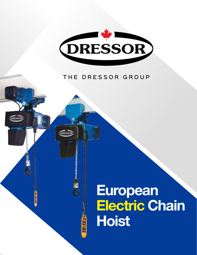

## THE DRESSOR GROUP

DRESSO

**DIE 60** 

**DRESS** 

**BODD** 

## European **Electric Chain Hoist**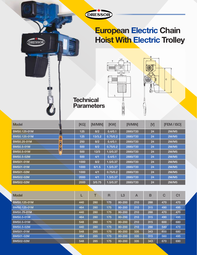

## European Electric Chain **Hoist With Electric Trolley**





**Technical Parameters** 

**DRESSOR** 

| <b>Model</b>       | [KG] | [M/MIN] | <b>[KW]</b> | [R/MIN]  | [M] | <b>[FEM / ISO]</b> |
|--------------------|------|---------|-------------|----------|-----|--------------------|
| BMS0.125-01M       | 125  | 8/2     | 0.4/0.1     | 2880/720 | 24  | 2M/M5              |
| BMS0.125-01M       | 125  | 13/3.2  | 0.75/0.2    | 2880/720 | 24  | <b>2M/M5</b>       |
| <b>BMS0.25-01M</b> | 250  | 8/2     | 0.4/0.1     | 2880/720 | 24  | 2M/M5              |
| <b>BMS0.5-01M</b>  | 500  | 8/2     | 0.75/0.2    | 2880/720 | 24  | <b>2M/M5</b>       |
| <b>BMS0.5-01M</b>  | 500  | 12/3    | 1.5/0.37    | 2880/720 | 24  | 2M/M5              |
| <b>BMS0.5-02M</b>  | 500  | 4/1     | 0.4/0.1     | 2880/720 | 24  | <b>2M/M5</b>       |
| <b>BMS01-01M</b>   | 1000 | 8/2     | 1.5/0.37    | 2880/720 | 24  | 2M/M5              |
| <b>BMS01-01M</b>   | 1000 | 6/1.5   | 1.5/0.37    | 2880/720 | 24  | <b>2M/M5</b>       |
| <b>BMS01-02M</b>   | 1000 | 4/1     | 0.75/0.2    | 2880/720 | 24  | 2M/M5              |
| <b>BMS02-02M</b>   | 2000 | 4/1     | 1.5/0.37    | 2880/720 | 24  | <b>2M/M5</b>       |
| <b>BMS02-02M</b>   | 2000 | 3/0.75  | 1.5/0.37    | 2880/720 | 24  | 2M/M5              |

| <b>Model</b>      |     |     | $\overline{\mathsf{R}}$ | L3     | $\overline{\mathsf{A}}$ | B   | $\mathbf C$ | C <sub>1</sub> |
|-------------------|-----|-----|-------------------------|--------|-------------------------|-----|-------------|----------------|
| BMS0.125-01M      | 440 | 280 | 175                     | 80-200 | 210                     | 288 | 470         | 470            |
| BMS0.125-01M      | 464 | 280 | 175                     | 80-200 | 210                     | 315 | 490         | 495            |
| BMS0.25-01M       | 440 | 280 | 175                     | 80-200 | 210                     | 288 | 470         | 470            |
| <b>BMS0.5-01M</b> | 464 | 280 | 175                     | 80-200 | 210                     | 315 | 490         | 495            |
| <b>BMS0.5-01M</b> | 548 | 280 | 175                     | 80-200 | 210                     | 315 | 600         | 680            |
| <b>BMS0.5-02M</b> | 440 | 280 | 175                     | 80-200 | 210                     | 288 | 540         | 470            |
| <b>BMS01-01M</b>  | 548 | 285 | 175                     | 80-200 | 335                     | 343 | 600         | 680            |
| <b>BMS01-02M</b>  | 464 | 285 | 175                     | 80-200 | 335                     | 315 | 560         | 495            |
| <b>BMS02-02M</b>  | 548 | 285 | 175                     | 80-200 | 335                     | 343 | 670         | 690            |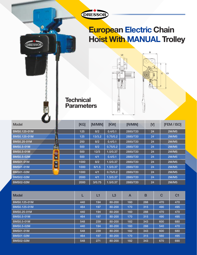

## European Electric Chain **Hoist With MANUAL Trolley**





**Technical Parameters** 

**DRESSOR** 

| $\sim$<br><b>Model</b>             | [KG] | [M/MIN] | <b>[KW]</b> | [R/MIN]  | [M] | [FEM / ISO]  |
|------------------------------------|------|---------|-------------|----------|-----|--------------|
| BMS0.125-01M                       | 125  | 8/2     | 0.4/0.1     | 2880/720 | 24  | 2M/M5        |
| BMS0.125-01M                       | 125  | 13/3.2  | 0.75/0.2    | 2880/720 | 24  | <b>2M/M5</b> |
| <b>BMS0.25-01M</b>                 | 250  | 8/2     | 0.4/0.1     | 2880/720 | 24  | 2M/M5        |
| <b>BMS0.5-01M</b>                  | 500  | 8/2     | 0.75/0.2    | 2880/720 | 24  | <b>2M/M5</b> |
| <b>BMS0.5-01M</b>                  | 500  | 12/3    | 1.5/0.37    | 2880/720 | 24  | 2M/M5        |
| ×<br><b>BMS0.5-02M</b>             | 500  | 4/1     | 0.4/0.1     | 2880/720 | 24  | <b>2M/M5</b> |
| <b>BMS01-01M</b><br>$\blacksquare$ | 1000 | 8/2     | 1.5/0.37    | 2880/720 | 24  | 2M/M5        |
| ٠<br><b>BMS01-01M</b>              | 1000 | 6/1.5   | 1.5/0.37    | 2880/720 | 24  | <b>2M/M5</b> |
| <b>BMS01-02M</b>                   | 1000 | 4/1     | 0.75/0.2    | 2880/720 | 24  | 2M/M5        |
| <b>BMS02-02M</b>                   | 2000 | 4/1     | 1.5/0.37    | 2880/720 | 24  | <b>2M/M5</b> |
| <b>BMS02-02M</b>                   | 2000 | 3/0.75  | 1.5/0.37    | 2880/720 | 24  | 2M/M5        |

| <b>Model</b>      |     | L1  | L <sub>3</sub> | A   | B   | C   | C <sub>1</sub> |
|-------------------|-----|-----|----------------|-----|-----|-----|----------------|
| BMS0.125-01M      | 440 | 194 | 80-200         | 160 | 288 | 470 | 470            |
| BMS0.125-01M      | 464 | 197 | 80-200         | 170 | 315 | 490 | 495            |
| BMS0.25-01M       | 440 | 194 | 80-200         | 160 | 288 | 470 | 470            |
| <b>BMS0.5-01M</b> | 464 | 197 | 80-200         | 170 | 315 | 490 | 495            |
| <b>BMS0.5-01M</b> | 548 | 239 | 80-200         | 182 | 343 | 600 | 680            |
| <b>BMS0.5-02M</b> | 440 | 194 | 80-200         | 160 | 288 | 540 | 470            |
| <b>BMS01-01M</b>  | 548 | 239 | 80-200         | 182 | 343 | 600 | 680            |
| <b>BMS01-02M</b>  | 464 | 197 | 80-200         | 170 | 315 | 560 | 495            |
| <b>BMS02-02M</b>  | 548 | 271 | 80-200         | 182 | 343 | 670 | 690            |